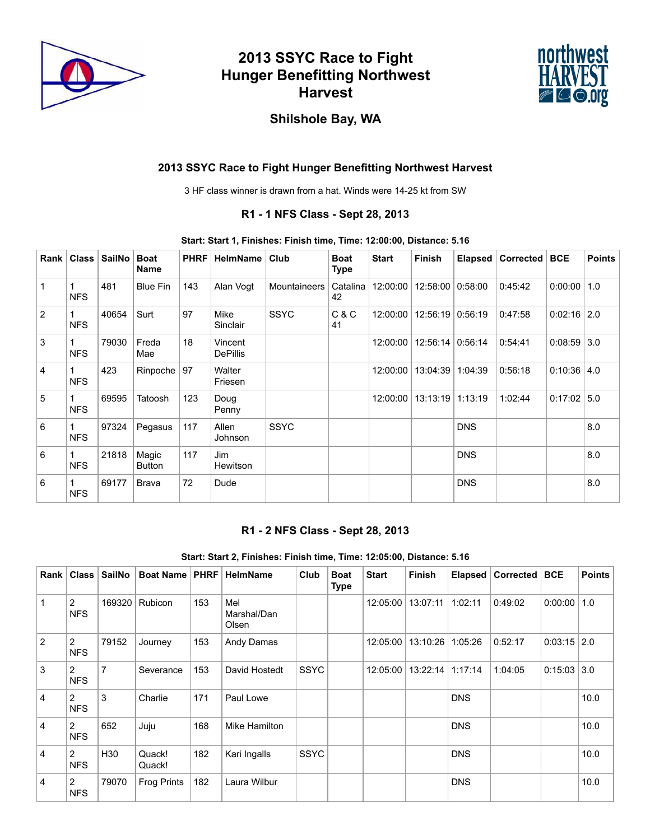

# **2013 SSYC Race to Fight Hunger Benefitting Northwest Harvest**



## **Shilshole Bay, WA**

### **2013 SSYC Race to Fight Hunger Benefitting Northwest Harvest**

3 HF class winner is drawn from a hat. Winds were 14-25 kt from SW

### **R1 - 1 NFS Class - Sept 28, 2013**

#### **Start: Start 1, Finishes: Finish time, Time: 12:00:00, Distance: 5.16**

| Rank           | <b>Class</b> | SailNo | <b>Boat</b><br><b>Name</b> | <b>PHRF</b> | <b>HelmName</b>            | Club                | <b>Boat</b><br><b>Type</b> | <b>Start</b> | <b>Finish</b>      | <b>Elapsed</b> | Corrected | <b>BCE</b> | <b>Points</b>     |
|----------------|--------------|--------|----------------------------|-------------|----------------------------|---------------------|----------------------------|--------------|--------------------|----------------|-----------|------------|-------------------|
| 1              | <b>NFS</b>   | 481    | <b>Blue Fin</b>            | 143         | Alan Voqt                  | <b>Mountaineers</b> | Catalina<br>42             | 12:00:00     | 12:58:00           | 0:58:00        | 0:45:42   | 0:00:00    | 1.0               |
| $\overline{2}$ | <b>NFS</b>   | 40654  | Surt                       | 97          | Mike<br>Sinclair           | <b>SSYC</b>         | C & C<br>41                | 12:00:00     | 12:56:19           | 0:56:19        | 0:47:58   | 0:02:16    | 2.0               |
| 3              | <b>NFS</b>   | 79030  | Freda<br>Mae               | 18          | Vincent<br><b>DePillis</b> |                     |                            | 12:00:00     | $12:56:14$ 0:56:14 |                | 0:54:41   | 0:08:59    | $\vert 3.0 \vert$ |
| 4              | <b>NFS</b>   | 423    | Rinpoche                   | 97          | Walter<br>Friesen          |                     |                            | 12:00:00     | 13:04:39           | 1:04:39        | 0:56:18   | 0:10:36    | 4.0               |
| 5              | <b>NFS</b>   | 69595  | Tatoosh                    | 123         | Doug<br>Penny              |                     |                            | 12:00:00     | 13:13:19           | 1:13:19        | 1:02:44   | 0:17:02    | 5.0               |
| 6              | <b>NFS</b>   | 97324  | Pegasus                    | 117         | Allen<br>Johnson           | <b>SSYC</b>         |                            |              |                    | <b>DNS</b>     |           |            | 8.0               |
| 6              | <b>NFS</b>   | 21818  | Magic<br>Button            | 117         | Jim<br>Hewitson            |                     |                            |              |                    | <b>DNS</b>     |           |            | 8.0               |
| 6              | <b>NFS</b>   | 69177  | <b>Brava</b>               | 72          | Dude                       |                     |                            |              |                    | <b>DNS</b>     |           |            | 8.0               |

#### **R1 - 2 NFS Class - Sept 28, 2013**

#### **Start: Start 2, Finishes: Finish time, Time: 12:05:00, Distance: 5.16**

| Rank | <b>Class</b>                 | <b>SailNo</b>   | <b>Boat Name</b>   | <b>PHRF</b> | <b>HelmName</b>             | Club        | <b>Boat</b><br><b>Type</b> | <b>Start</b> | <b>Finish</b> | Elapsed    | Corrected | <b>BCE</b> | <b>Points</b> |
|------|------------------------------|-----------------|--------------------|-------------|-----------------------------|-------------|----------------------------|--------------|---------------|------------|-----------|------------|---------------|
|      | $\overline{2}$<br><b>NFS</b> | 169320          | <b>Rubicon</b>     | 153         | Mel<br>Marshal/Dan<br>Olsen |             |                            | 12:05:00     | 13:07:11      | 1:02:11    | 0:49:02   | 0:00:00    | 1.0           |
| 2    | 2<br><b>NFS</b>              | 79152           | Journey            | 153         | Andy Damas                  |             |                            | 12:05:00     | 13:10:26      | 1:05:26    | 0:52:17   | 0:03:15    | 2.0           |
| 3    | 2<br><b>NFS</b>              | $\overline{7}$  | Severance          | 153         | David Hostedt               | <b>SSYC</b> |                            | 12:05:00     | 13:22:14      | 1:17:14    | 1:04:05   | 0:15:03    | 3.0           |
| 4    | 2<br><b>NFS</b>              | 3               | Charlie            | 171         | Paul Lowe                   |             |                            |              |               | <b>DNS</b> |           |            | 10.0          |
| 4    | 2<br><b>NFS</b>              | 652             | Juju               | 168         | Mike Hamilton               |             |                            |              |               | <b>DNS</b> |           |            | 10.0          |
| 4    | $\mathcal{P}$<br><b>NFS</b>  | H <sub>30</sub> | Quack!<br>Quack!   | 182         | Kari Ingalls                | <b>SSYC</b> |                            |              |               | <b>DNS</b> |           |            | 10.0          |
| 4    | $\overline{2}$<br><b>NFS</b> | 79070           | <b>Frog Prints</b> | 182         | Laura Wilbur                |             |                            |              |               | <b>DNS</b> |           |            | 10.0          |